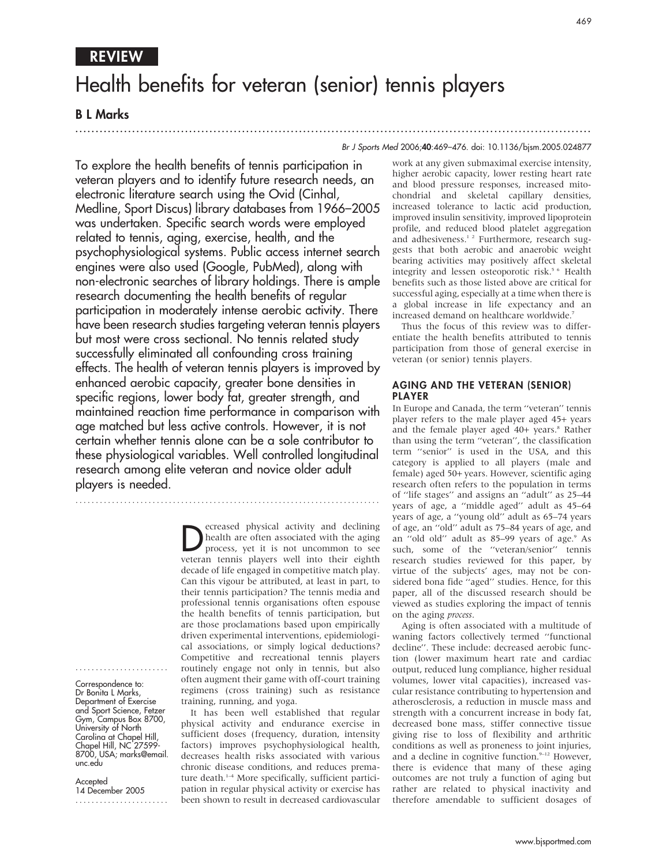# Health benefits for veteran (senior) tennis players

............................................................... ............................................................... .

#### B L Marks

To explore the health benefits of tennis participation in veteran players and to identify future research needs, an electronic literature search using the Ovid (Cinhal, Medline, Sport Discus) library databases from 1966–2005 was undertaken. Specific search words were employed related to tennis, aging, exercise, health, and the psychophysiological systems. Public access internet search engines were also used (Google, PubMed), along with non-electronic searches of library holdings. There is ample research documenting the health benefits of regular participation in moderately intense aerobic activity. There have been research studies targeting veteran tennis players but most were cross sectional. No tennis related study successfully eliminated all confounding cross training effects. The health of veteran tennis players is improved by enhanced aerobic capacity, greater bone densities in specific regions, lower body fat, greater strength, and maintained reaction time performance in comparison with age matched but less active controls. However, it is not certain whether tennis alone can be a sole contributor to these physiological variables. Well controlled longitudinal research among elite veteran and novice older adult players is needed.

............................................................... ............

**Decreased physical activity and declining**<br>health are often associated with the aging<br>process, yet it is not uncommon to see health are often associated with the aging process, yet it is not uncommon to see veteran tennis players well into their eighth decade of life engaged in competitive match play. Can this vigour be attributed, at least in part, to their tennis participation? The tennis media and professional tennis organisations often espouse the health benefits of tennis participation, but are those proclamations based upon empirically driven experimental interventions, epidemiological associations, or simply logical deductions? Competitive and recreational tennis players routinely engage not only in tennis, but also often augment their game with off-court training regimens (cross training) such as resistance training, running, and yoga.

It has been well established that regular physical activity and endurance exercise in sufficient doses (frequency, duration, intensity factors) improves psychophysiological health, decreases health risks associated with various chronic disease conditions, and reduces premature death.<sup>1-4</sup> More specifically, sufficient participation in regular physical activity or exercise has been shown to result in decreased cardiovascular

#### Br J Sports Med 2006;40:469–476. doi: 10.1136/bjsm.2005.024877

work at any given submaximal exercise intensity, higher aerobic capacity, lower resting heart rate and blood pressure responses, increased mitochondrial and skeletal capillary densities, increased tolerance to lactic acid production, improved insulin sensitivity, improved lipoprotein profile, and reduced blood platelet aggregation and adhesiveness.<sup>12</sup> Furthermore, research suggests that both aerobic and anaerobic weight bearing activities may positively affect skeletal integrity and lessen osteoporotic risk.<sup>5 6</sup> Health benefits such as those listed above are critical for successful aging, especially at a time when there is a global increase in life expectancy and an increased demand on healthcare worldwide.7

Thus the focus of this review was to differentiate the health benefits attributed to tennis participation from those of general exercise in veteran (or senior) tennis players.

#### AGING AND THE VETERAN (SENIOR) PLAYER

In Europe and Canada, the term ''veteran'' tennis player refers to the male player aged 45+ years and the female player aged  $40+$  years.<sup>8</sup> Rather than using the term ''veteran'', the classification term ''senior'' is used in the USA, and this category is applied to all players (male and female) aged 50+ years. However, scientific aging research often refers to the population in terms of ''life stages'' and assigns an ''adult'' as 25–44 years of age, a ''middle aged'' adult as 45–64 years of age, a ''young old'' adult as 65–74 years of age, an ''old'' adult as 75–84 years of age, and an "old old" adult as 85–99 years of age.<sup>9</sup> As such, some of the ''veteran/senior'' tennis research studies reviewed for this paper, by virtue of the subjects' ages, may not be considered bona fide ''aged'' studies. Hence, for this paper, all of the discussed research should be viewed as studies exploring the impact of tennis on the aging process.

Aging is often associated with a multitude of waning factors collectively termed ''functional decline''. These include: decreased aerobic function (lower maximum heart rate and cardiac output, reduced lung compliance, higher residual volumes, lower vital capacities), increased vascular resistance contributing to hypertension and atherosclerosis, a reduction in muscle mass and strength with a concurrent increase in body fat, decreased bone mass, stiffer connective tissue giving rise to loss of flexibility and arthritic conditions as well as proneness to joint injuries, and a decline in cognitive function.<sup>9-12</sup> However, there is evidence that many of these aging outcomes are not truly a function of aging but rather are related to physical inactivity and therefore amendable to sufficient dosages of

Correspondence to: Dr Bonita L Marks, Department of Exercise and Sport Science, Fetzer Gym, Campus Box 8700, University of North Carolina at Chapel Hill, Chapel Hill, NC 27599- 8700, USA; marks@email. unc.edu

.......................

**Accepted** 14 December 2005 .......................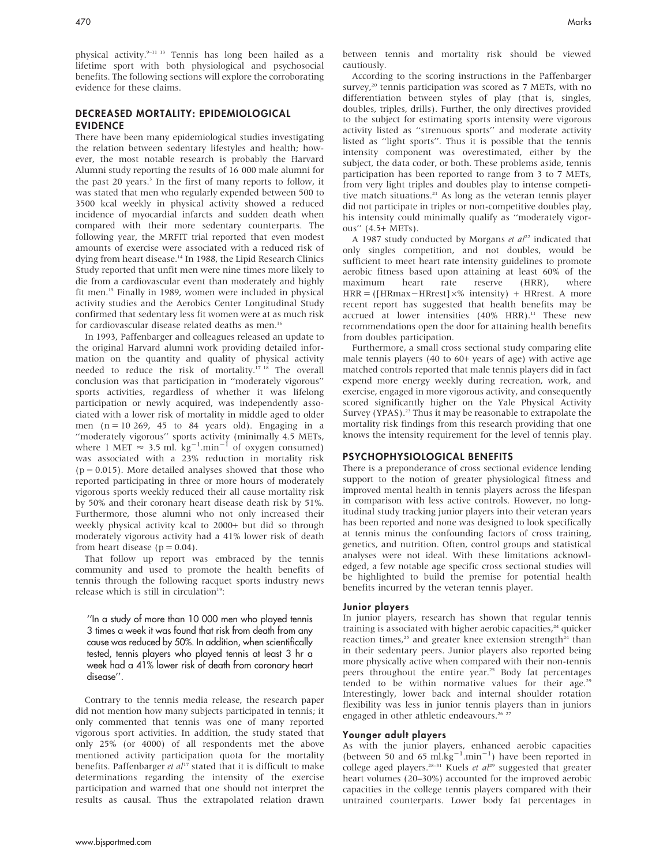physical activity.<sup>9–11–13</sup> Tennis has long been hailed as a lifetime sport with both physiological and psychosocial benefits. The following sections will explore the corroborating evidence for these claims.

#### DECREASED MORTALITY: EPIDEMIOLOGICAL EVIDENCE

There have been many epidemiological studies investigating the relation between sedentary lifestyles and health; however, the most notable research is probably the Harvard Alumni study reporting the results of 16 000 male alumni for the past 20 years.<sup>3</sup> In the first of many reports to follow, it was stated that men who regularly expended between 500 to 3500 kcal weekly in physical activity showed a reduced incidence of myocardial infarcts and sudden death when compared with their more sedentary counterparts. The following year, the MRFIT trial reported that even modest amounts of exercise were associated with a reduced risk of dying from heart disease.<sup>14</sup> In 1988, the Lipid Research Clinics Study reported that unfit men were nine times more likely to die from a cardiovascular event than moderately and highly fit men.15 Finally in 1989, women were included in physical activity studies and the Aerobics Center Longitudinal Study confirmed that sedentary less fit women were at as much risk for cardiovascular disease related deaths as men.<sup>16</sup>

In 1993, Paffenbarger and colleagues released an update to the original Harvard alumni work providing detailed information on the quantity and quality of physical activity needed to reduce the risk of mortality.17 18 The overall conclusion was that participation in ''moderately vigorous'' sports activities, regardless of whether it was lifelong participation or newly acquired, was independently associated with a lower risk of mortality in middle aged to older men  $(n = 10 269, 45$  to 84 years old). Engaging in a ''moderately vigorous'' sports activity (minimally 4.5 METs, where 1 MET  $\approx 3.5$  ml. kg<sup>-1</sup>.min<sup>-1</sup> of oxygen consumed) was associated with a 23% reduction in mortality risk  $(p = 0.015)$ . More detailed analyses showed that those who reported participating in three or more hours of moderately vigorous sports weekly reduced their all cause mortality risk by 50% and their coronary heart disease death risk by 51%. Furthermore, those alumni who not only increased their weekly physical activity kcal to 2000+ but did so through moderately vigorous activity had a 41% lower risk of death from heart disease ( $p = 0.04$ ).

That follow up report was embraced by the tennis community and used to promote the health benefits of tennis through the following racquet sports industry news release which is still in circulation<sup>19</sup>:

''In a study of more than 10 000 men who played tennis 3 times a week it was found that risk from death from any cause was reduced by 50%. In addition, when scientifically tested, tennis players who played tennis at least 3 hr a week had a 41% lower risk of death from coronary heart disease''.

Contrary to the tennis media release, the research paper did not mention how many subjects participated in tennis; it only commented that tennis was one of many reported vigorous sport activities. In addition, the study stated that only 25% (or 4000) of all respondents met the above mentioned activity participation quota for the mortality benefits. Paffenbarger et  $al^{17}$  stated that it is difficult to make determinations regarding the intensity of the exercise participation and warned that one should not interpret the results as causal. Thus the extrapolated relation drawn between tennis and mortality risk should be viewed cautiously.

According to the scoring instructions in the Paffenbarger survey,<sup>20</sup> tennis participation was scored as 7 METs, with no differentiation between styles of play (that is, singles, doubles, triples, drills). Further, the only directives provided to the subject for estimating sports intensity were vigorous activity listed as ''strenuous sports'' and moderate activity listed as ''light sports''. Thus it is possible that the tennis intensity component was overestimated, either by the subject, the data coder, or both. These problems aside, tennis participation has been reported to range from 3 to 7 METs, from very light triples and doubles play to intense competitive match situations.<sup>21</sup> As long as the veteran tennis player did not participate in triples or non-competitive doubles play, his intensity could minimally qualify as ''moderately vigorous'' (4.5+ METs).

A 1987 study conducted by Morgans et  $al^{22}$  indicated that only singles competition, and not doubles, would be sufficient to meet heart rate intensity guidelines to promote aerobic fitness based upon attaining at least 60% of the maximum heart rate reserve (HRR), where  $HRR = (HRRmax-HRrest] \times %$  intensity) + HRrest. A more recent report has suggested that health benefits may be accrued at lower intensities (40% HRR).<sup>11</sup> These new recommendations open the door for attaining health benefits from doubles participation.

Furthermore, a small cross sectional study comparing elite male tennis players (40 to 60+ years of age) with active age matched controls reported that male tennis players did in fact expend more energy weekly during recreation, work, and exercise, engaged in more vigorous activity, and consequently scored significantly higher on the Yale Physical Activity Survey (YPAS).<sup>23</sup> Thus it may be reasonable to extrapolate the mortality risk findings from this research providing that one knows the intensity requirement for the level of tennis play.

#### PSYCHOPHYSIOLOGICAL BENEFITS

There is a preponderance of cross sectional evidence lending support to the notion of greater physiological fitness and improved mental health in tennis players across the lifespan in comparison with less active controls. However, no longitudinal study tracking junior players into their veteran years has been reported and none was designed to look specifically at tennis minus the confounding factors of cross training, genetics, and nutrition. Often, control groups and statistical analyses were not ideal. With these limitations acknowledged, a few notable age specific cross sectional studies will be highlighted to build the premise for potential health benefits incurred by the veteran tennis player.

#### Junior players

In junior players, research has shown that regular tennis training is associated with higher aerobic capacities, $24$  quicker reaction times, $25$  and greater knee extension strength $24$  than in their sedentary peers. Junior players also reported being more physically active when compared with their non-tennis peers throughout the entire year.<sup>25</sup> Body fat percentages tended to be within normative values for their age.<sup>29</sup> Interestingly, lower back and internal shoulder rotation flexibility was less in junior tennis players than in juniors engaged in other athletic endeavours.<sup>26</sup>

#### Younger adult players

As with the junior players, enhanced aerobic capacities (between 50 and 65 ml. $\rm kg^{-1}.min^{-1}$ ) have been reported in college aged players.<sup>28–31</sup> Kuels et  $al^{29}$  suggested that greater heart volumes (20–30%) accounted for the improved aerobic capacities in the college tennis players compared with their untrained counterparts. Lower body fat percentages in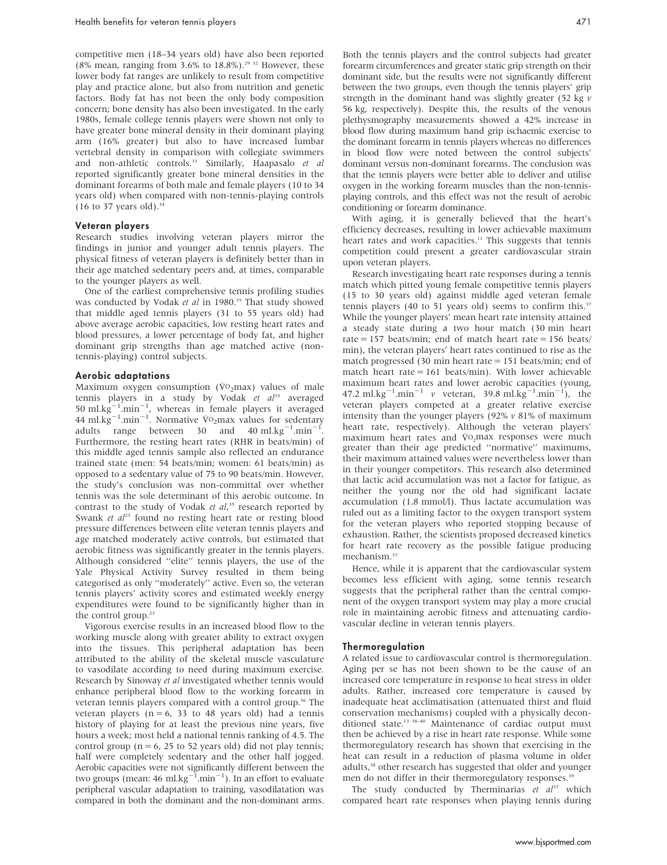competitive men (18–34 years old) have also been reported (8% mean, ranging from 3.6% to 18.8%).<sup>29 32</sup> However, these lower body fat ranges are unlikely to result from competitive play and practice alone, but also from nutrition and genetic factors. Body fat has not been the only body composition concern; bone density has also been investigated. In the early 1980s, female college tennis players were shown not only to have greater bone mineral density in their dominant playing arm (16% greater) but also to have increased lumbar vertebral density in comparison with collegiate swimmers and non-athletic controls.<sup>33</sup> Similarly, Haapasalo et al reported significantly greater bone mineral densities in the dominant forearms of both male and female players (10 to 34 years old) when compared with non-tennis-playing controls (16 to 37 years old). $34$ 

#### Veteran players

Research studies involving veteran players mirror the findings in junior and younger adult tennis players. The physical fitness of veteran players is definitely better than in their age matched sedentary peers and, at times, comparable to the younger players as well.

One of the earliest comprehensive tennis profiling studies was conducted by Vodak et al in 1980.<sup>35</sup> That study showed that middle aged tennis players (31 to 55 years old) had above average aerobic capacities, low resting heart rates and blood pressures, a lower percentage of body fat, and higher dominant grip strengths than age matched active (nontennis-playing) control subjects.

#### Aerobic adaptations

Maximum oxygen consumption ( $\dot{V}$ O<sub>2</sub>max) values of male tennis players in a study by Vodak et  $al^{35}$  averaged 50 ml.kg<sup>-1</sup>.min<sup>-1</sup>, whereas in female players it averaged 44 ml.kg<sup>-1</sup>.min<sup>-1</sup>. Normative  $\sqrt{v}$ 2max values for sedentary adults range between 30 and 40 ml.kg<sup>-1</sup>.min<sup>-1</sup> . Furthermore, the resting heart rates (RHR in beats/min) of this middle aged tennis sample also reflected an endurance trained state (men: 54 beats/min; women: 61 beats/min) as opposed to a sedentary value of 75 to 90 beats/min. However, the study's conclusion was non-committal over whether tennis was the sole determinant of this aerobic outcome. In contrast to the study of Vodak et al,<sup>35</sup> research reported by Swank et  $a^{p_3}$  found no resting heart rate or resting blood pressure differences between elite veteran tennis players and age matched moderately active controls, but estimated that aerobic fitness was significantly greater in the tennis players. Although considered ''elite'' tennis players, the use of the Yale Physical Activity Survey resulted in them being categorised as only ''moderately'' active. Even so, the veteran tennis players' activity scores and estimated weekly energy expenditures were found to be significantly higher than in the control group.<sup>23</sup>

Vigorous exercise results in an increased blood flow to the working muscle along with greater ability to extract oxygen into the tissues. This peripheral adaptation has been attributed to the ability of the skeletal muscle vasculature to vasodilate according to need during maximum exercise. Research by Sinoway et al investigated whether tennis would enhance peripheral blood flow to the working forearm in veteran tennis players compared with a control group.<sup>36</sup> The veteran players ( $n = 6$ , 33 to 48 years old) had a tennis history of playing for at least the previous nine years, five hours a week; most held a national tennis ranking of 4.5. The control group ( $n = 6$ , 25 to 52 years old) did not play tennis; half were completely sedentary and the other half jogged. Aerobic capacities were not significantly different between the two groups (mean: 46 ml.kg<sup>-1</sup>.min<sup>-1</sup>). In an effort to evaluate peripheral vascular adaptation to training, vasodilatation was compared in both the dominant and the non-dominant arms. Both the tennis players and the control subjects had greater forearm circumferences and greater static grip strength on their dominant side, but the results were not significantly different between the two groups, even though the tennis players' grip strength in the dominant hand was slightly greater (52 kg  $\nu$ ) 56 kg, respectively). Despite this, the results of the venous plethysmography measurements showed a 42% increase in blood flow during maximum hand grip ischaemic exercise to the dominant forearm in tennis players whereas no differences in blood flow were noted between the control subjects' dominant versus non-dominant forearms. The conclusion was that the tennis players were better able to deliver and utilise oxygen in the working forearm muscles than the non-tennisplaying controls, and this effect was not the result of aerobic conditioning or forearm dominance.

With aging, it is generally believed that the heart's efficiency decreases, resulting in lower achievable maximum heart rates and work capacities.<sup>11</sup> This suggests that tennis competition could present a greater cardiovascular strain upon veteran players.

Research investigating heart rate responses during a tennis match which pitted young female competitive tennis players (15 to 30 years old) against middle aged veteran female tennis players (40 to 51 years old) seems to confirm this.<sup>37</sup> While the younger players' mean heart rate intensity attained a steady state during a two hour match (30 min heart rate = 157 beats/min; end of match heart rate = 156 beats/ min), the veteran players' heart rates continued to rise as the match progressed (30 min heart rate = 151 beats/min; end of match heart rate = 161 beats/min). With lower achievable maximum heart rates and lower aerobic capacities (young, 47.2 ml.kg<sup>-1</sup>.min<sup>-1</sup> v veteran, 39.8 ml.kg<sup>-1</sup>.min<sup>-1</sup>), the veteran players competed at a greater relative exercise intensity than the younger players  $(92\% v 81\% \text{ of maximum})$ heart rate, respectively). Although the veteran players' maximum heart rates and Vo, max responses were much greater than their age predicted ''normative'' maximums, their maximum attained values were nevertheless lower than in their younger competitors. This research also determined that lactic acid accumulation was not a factor for fatigue, as neither the young nor the old had significant lactate accumulation (1.8 mmol/l). Thus lactate accumulation was ruled out as a limiting factor to the oxygen transport system for the veteran players who reported stopping because of exhaustion. Rather, the scientists proposed decreased kinetics for heart rate recovery as the possible fatigue producing mechanism.37

Hence, while it is apparent that the cardiovascular system becomes less efficient with aging, some tennis research suggests that the peripheral rather than the central component of the oxygen transport system may play a more crucial role in maintaining aerobic fitness and attenuating cardiovascular decline in veteran tennis players.

#### Thermoregulation

A related issue to cardiovascular control is thermoregulation. Aging per se has not been shown to be the cause of an increased core temperature in response to heat stress in older adults. Rather, increased core temperature is caused by inadequate heat acclimatisation (attenuated thirst and fluid conservation mechanisms) coupled with a physically deconditioned state.<sup>13 38–40</sup> Maintenance of cardiac output must then be achieved by a rise in heart rate response. While some thermoregulatory research has shown that exercising in the heat can result in a reduction of plasma volume in older adults,<sup>38</sup> other research has suggested that older and younger men do not differ in their thermoregulatory responses.<sup>3</sup>

The study conducted by Therminarias et  $a^{37}$  which compared heart rate responses when playing tennis during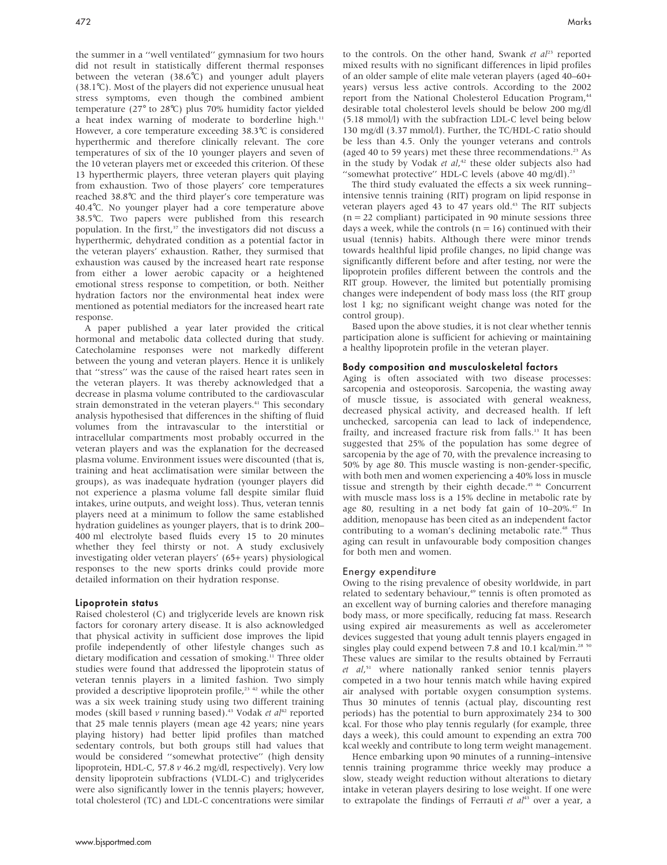the summer in a ''well ventilated'' gymnasium for two hours did not result in statistically different thermal responses between the veteran (38.6˚C) and younger adult players (38.1 $^{\circ}$ C). Most of the players did not experience unusual heat stress symptoms, even though the combined ambient temperature (27˚ to 28˚C) plus 70% humidity factor yielded a heat index warning of moderate to borderline high.<sup>11</sup> However, a core temperature exceeding 38.3˚C is considered hyperthermic and therefore clinically relevant. The core temperatures of six of the 10 younger players and seven of the 10 veteran players met or exceeded this criterion. Of these 13 hyperthermic players, three veteran players quit playing from exhaustion. Two of those players' core temperatures reached 38.8˚C and the third player's core temperature was 40.4˚C. No younger player had a core temperature above 38.5˚C. Two papers were published from this research population. In the first, $37$  the investigators did not discuss a hyperthermic, dehydrated condition as a potential factor in the veteran players' exhaustion. Rather, they surmised that exhaustion was caused by the increased heart rate response from either a lower aerobic capacity or a heightened emotional stress response to competition, or both. Neither hydration factors nor the environmental heat index were mentioned as potential mediators for the increased heart rate response.

A paper published a year later provided the critical hormonal and metabolic data collected during that study. Catecholamine responses were not markedly different between the young and veteran players. Hence it is unlikely that ''stress'' was the cause of the raised heart rates seen in the veteran players. It was thereby acknowledged that a decrease in plasma volume contributed to the cardiovascular strain demonstrated in the veteran players.<sup>41</sup> This secondary analysis hypothesised that differences in the shifting of fluid volumes from the intravascular to the interstitial or intracellular compartments most probably occurred in the veteran players and was the explanation for the decreased plasma volume. Environment issues were discounted (that is, training and heat acclimatisation were similar between the groups), as was inadequate hydration (younger players did not experience a plasma volume fall despite similar fluid intakes, urine outputs, and weight loss). Thus, veteran tennis players need at a minimum to follow the same established hydration guidelines as younger players, that is to drink 200– 400 ml electrolyte based fluids every 15 to 20 minutes whether they feel thirsty or not. A study exclusively investigating older veteran players' (65+ years) physiological responses to the new sports drinks could provide more detailed information on their hydration response.

#### Lipoprotein status

Raised cholesterol (C) and triglyceride levels are known risk factors for coronary artery disease. It is also acknowledged that physical activity in sufficient dose improves the lipid profile independently of other lifestyle changes such as dietary modification and cessation of smoking.<sup>11</sup> Three older studies were found that addressed the lipoprotein status of veteran tennis players in a limited fashion. Two simply provided a descriptive lipoprotein profile,<sup>23</sup> <sup>42</sup> while the other was a six week training study using two different training modes (skill based v running based).<sup>43</sup> Vodak et  $al^{42}$  reported that 25 male tennis players (mean age 42 years; nine years playing history) had better lipid profiles than matched sedentary controls, but both groups still had values that would be considered ''somewhat protective'' (high density lipoprotein, HDL-C, 57.8 v 46.2 mg/dl, respectively). Very low density lipoprotein subfractions (VLDL-C) and triglycerides were also significantly lower in the tennis players; however, total cholesterol (TC) and LDL-C concentrations were similar to the controls. On the other hand, Swank et  $al^{23}$  reported mixed results with no significant differences in lipid profiles of an older sample of elite male veteran players (aged 40–60+ years) versus less active controls. According to the 2002 report from the National Cholesterol Education Program,<sup>44</sup> desirable total cholesterol levels should be below 200 mg/dl (5.18 mmol/l) with the subfraction LDL-C level being below 130 mg/dl (3.37 mmol/l). Further, the TC/HDL-C ratio should be less than 4.5. Only the younger veterans and controls (aged 40 to 59 years) met these three recommendations.<sup>23</sup> As in the study by Vodak et al,<sup>42</sup> these older subjects also had "somewhat protective" HDL-C levels (above 40 mg/dl).<sup>23</sup>

The third study evaluated the effects a six week running– intensive tennis training (RIT) program on lipid response in veteran players aged 43 to 47 years old.<sup>43</sup> The RIT subjects  $(n = 22$  compliant) participated in 90 minute sessions three days a week, while the controls ( $n = 16$ ) continued with their usual (tennis) habits. Although there were minor trends towards healthful lipid profile changes, no lipid change was significantly different before and after testing, nor were the lipoprotein profiles different between the controls and the RIT group. However, the limited but potentially promising changes were independent of body mass loss (the RIT group lost 1 kg; no significant weight change was noted for the control group).

Based upon the above studies, it is not clear whether tennis participation alone is sufficient for achieving or maintaining a healthy lipoprotein profile in the veteran player.

#### Body composition and musculoskeletal factors

Aging is often associated with two disease processes: sarcopenia and osteoporosis. Sarcopenia, the wasting away of muscle tissue, is associated with general weakness, decreased physical activity, and decreased health. If left unchecked, sarcopenia can lead to lack of independence, frailty, and increased fracture risk from falls.<sup>13</sup> It has been suggested that 25% of the population has some degree of sarcopenia by the age of 70, with the prevalence increasing to 50% by age 80. This muscle wasting is non-gender-specific, with both men and women experiencing a 40% loss in muscle tissue and strength by their eighth decade.<sup>45 46</sup> Concurrent with muscle mass loss is a 15% decline in metabolic rate by age 80, resulting in a net body fat gain of 10–20%.47 In addition, menopause has been cited as an independent factor contributing to a woman's declining metabolic rate.<sup>48</sup> Thus aging can result in unfavourable body composition changes for both men and women.

#### Energy expenditure

Owing to the rising prevalence of obesity worldwide, in part related to sedentary behaviour,<sup>49</sup> tennis is often promoted as an excellent way of burning calories and therefore managing body mass, or more specifically, reducing fat mass. Research using expired air measurements as well as accelerometer devices suggested that young adult tennis players engaged in singles play could expend between 7.8 and 10.1 kcal/min.<sup>28 50</sup> These values are similar to the results obtained by Ferrauti et al,<sup>51</sup> where nationally ranked senior tennis players competed in a two hour tennis match while having expired air analysed with portable oxygen consumption systems. Thus 30 minutes of tennis (actual play, discounting rest periods) has the potential to burn approximately 234 to 300 kcal. For those who play tennis regularly (for example, three days a week), this could amount to expending an extra 700 kcal weekly and contribute to long term weight management.

Hence embarking upon 90 minutes of a running–intensive tennis training programme thrice weekly may produce a slow, steady weight reduction without alterations to dietary intake in veteran players desiring to lose weight. If one were to extrapolate the findings of Ferrauti et  $al<sup>43</sup>$  over a year, a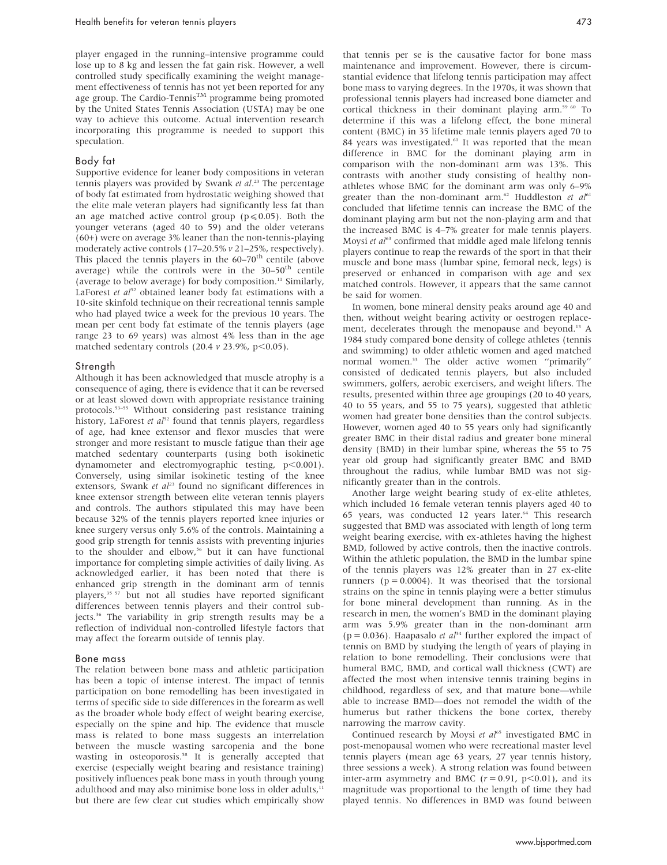player engaged in the running–intensive programme could lose up to 8 kg and lessen the fat gain risk. However, a well controlled study specifically examining the weight management effectiveness of tennis has not yet been reported for any age group. The Cardio-Tennis<sup>TM</sup> programme being promoted by the United States Tennis Association (USTA) may be one way to achieve this outcome. Actual intervention research incorporating this programme is needed to support this speculation.

#### Body fat

Supportive evidence for leaner body compositions in veteran tennis players was provided by Swank et al.<sup>23</sup> The percentage of body fat estimated from hydrostatic weighing showed that the elite male veteran players had significantly less fat than an age matched active control group ( $p \le 0.05$ ). Both the younger veterans (aged 40 to 59) and the older veterans (60+) were on average 3% leaner than the non-tennis-playing moderately active controls (17–20.5% v 21–25%, respectively). This placed the tennis players in the  $60-70$ <sup>th</sup> centile (above average) while the controls were in the 30-50<sup>th</sup> centile (average to below average) for body composition.<sup>11</sup> Similarly, LaForest et  $aI^{52}$  obtained leaner body fat estimations with a 10-site skinfold technique on their recreational tennis sample who had played twice a week for the previous 10 years. The mean per cent body fat estimate of the tennis players (age range 23 to 69 years) was almost 4% less than in the age matched sedentary controls  $(20.4 \text{ v } 23.9\% , \text{ p} < 0.05)$ .

#### **Strength**

Although it has been acknowledged that muscle atrophy is a consequence of aging, there is evidence that it can be reversed or at least slowed down with appropriate resistance training protocols.53–55 Without considering past resistance training history, LaForest et  $a^{152}$  found that tennis players, regardless of age, had knee extensor and flexor muscles that were stronger and more resistant to muscle fatigue than their age matched sedentary counterparts (using both isokinetic dynamometer and electromyographic testing,  $p<0.001$ ). Conversely, using similar isokinetic testing of the knee extensors, Swank et  $a^{23}$  found no significant differences in knee extensor strength between elite veteran tennis players and controls. The authors stipulated this may have been because 32% of the tennis players reported knee injuries or knee surgery versus only 5.6% of the controls. Maintaining a good grip strength for tennis assists with preventing injuries to the shoulder and elbow,<sup>56</sup> but it can have functional importance for completing simple activities of daily living. As acknowledged earlier, it has been noted that there is enhanced grip strength in the dominant arm of tennis players,<sup>35 57</sup> but not all studies have reported significant differences between tennis players and their control subjects.36 The variability in grip strength results may be a reflection of individual non-controlled lifestyle factors that may affect the forearm outside of tennis play.

#### Bone mass

The relation between bone mass and athletic participation has been a topic of intense interest. The impact of tennis participation on bone remodelling has been investigated in terms of specific side to side differences in the forearm as well as the broader whole body effect of weight bearing exercise, especially on the spine and hip. The evidence that muscle mass is related to bone mass suggests an interrelation between the muscle wasting sarcopenia and the bone wasting in osteoporosis.<sup>58</sup> It is generally accepted that exercise (especially weight bearing and resistance training) positively influences peak bone mass in youth through young adulthood and may also minimise bone loss in older adults,<sup>11</sup> but there are few clear cut studies which empirically show that tennis per se is the causative factor for bone mass maintenance and improvement. However, there is circumstantial evidence that lifelong tennis participation may affect bone mass to varying degrees. In the 1970s, it was shown that professional tennis players had increased bone diameter and cortical thickness in their dominant playing arm.59 60 To determine if this was a lifelong effect, the bone mineral content (BMC) in 35 lifetime male tennis players aged 70 to 84 years was investigated.<sup>61</sup> It was reported that the mean difference in BMC for the dominant playing arm in comparison with the non-dominant arm was 13%. This contrasts with another study consisting of healthy nonathletes whose BMC for the dominant arm was only 6–9% greater than the non-dominant arm.<sup>62</sup> Huddleston et  $al^{61}$ concluded that lifetime tennis can increase the BMC of the dominant playing arm but not the non-playing arm and that the increased BMC is 4–7% greater for male tennis players. Moysi et  $a^{163}$  confirmed that middle aged male lifelong tennis players continue to reap the rewards of the sport in that their muscle and bone mass (lumbar spine, femoral neck, legs) is preserved or enhanced in comparison with age and sex matched controls. However, it appears that the same cannot be said for women.

In women, bone mineral density peaks around age 40 and then, without weight bearing activity or oestrogen replacement, decelerates through the menopause and beyond.<sup>13</sup> A 1984 study compared bone density of college athletes (tennis and swimming) to older athletic women and aged matched normal women.33 The older active women ''primarily'' consisted of dedicated tennis players, but also included swimmers, golfers, aerobic exercisers, and weight lifters. The results, presented within three age groupings (20 to 40 years, 40 to 55 years, and 55 to 75 years), suggested that athletic women had greater bone densities than the control subjects. However, women aged 40 to 55 years only had significantly greater BMC in their distal radius and greater bone mineral density (BMD) in their lumbar spine, whereas the 55 to 75 year old group had significantly greater BMC and BMD throughout the radius, while lumbar BMD was not significantly greater than in the controls.

Another large weight bearing study of ex-elite athletes, which included 16 female veteran tennis players aged 40 to 65 years, was conducted 12 years later.<sup>64</sup> This research suggested that BMD was associated with length of long term weight bearing exercise, with ex-athletes having the highest BMD, followed by active controls, then the inactive controls. Within the athletic population, the BMD in the lumbar spine of the tennis players was 12% greater than in 27 ex-elite runners ( $p = 0.0004$ ). It was theorised that the torsional strains on the spine in tennis playing were a better stimulus for bone mineral development than running. As in the research in men, the women's BMD in the dominant playing arm was 5.9% greater than in the non-dominant arm (p = 0.036). Haapasalo *et al*<sup>34</sup> further explored the impact of tennis on BMD by studying the length of years of playing in relation to bone remodelling. Their conclusions were that humeral BMC, BMD, and cortical wall thickness (CWT) are affected the most when intensive tennis training begins in childhood, regardless of sex, and that mature bone—while able to increase BMD—does not remodel the width of the humerus but rather thickens the bone cortex, thereby narrowing the marrow cavity.

Continued research by Moysi et  $al^{65}$  investigated BMC in post-menopausal women who were recreational master level tennis players (mean age 63 years, 27 year tennis history, three sessions a week). A strong relation was found between inter-arm asymmetry and BMC  $(r = 0.91, p < 0.01)$ , and its magnitude was proportional to the length of time they had played tennis. No differences in BMD was found between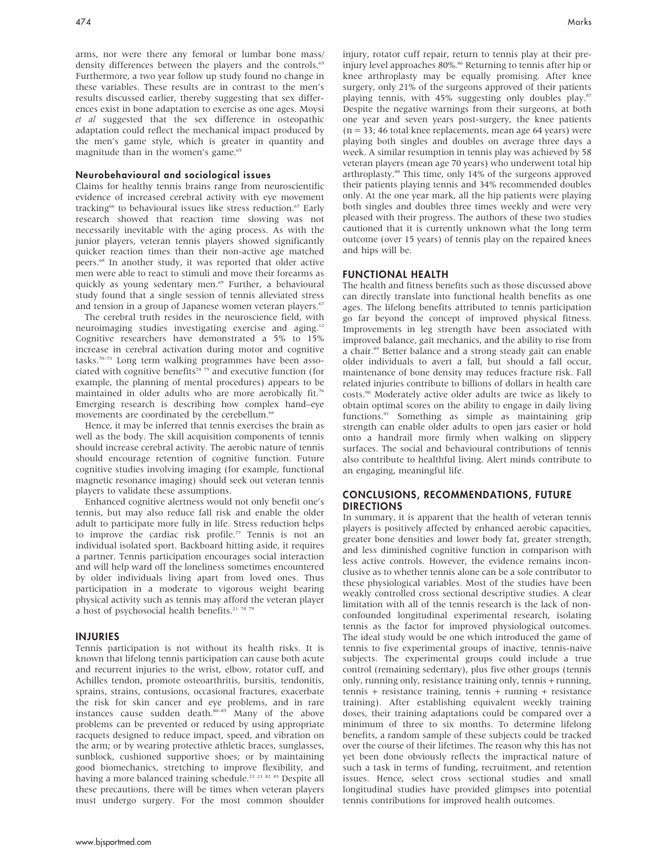arms, nor were there any femoral or lumbar bone mass/ density differences between the players and the controls.<sup>65</sup> Furthermore, a two year follow up study found no change in these variables. These results are in contrast to the men's results discussed earlier, thereby suggesting that sex differences exist in bone adaptation to exercise as one ages. Moysi et al suggested that the sex difference in osteopathic adaptation could reflect the mechanical impact produced by the men's game style, which is greater in quantity and magnitude than in the women's game.<sup>65</sup>

#### Neurobehavioural and sociological issues

Claims for healthy tennis brains range from neuroscientific evidence of increased cerebral activity with eye movement tracking<sup>66</sup> to behavioural issues like stress reduction.<sup>67</sup> Early research showed that reaction time slowing was not necessarily inevitable with the aging process. As with the junior players, veteran tennis players showed significantly quicker reaction times than their non-active age matched peers.<sup>68</sup> In another study, it was reported that older active men were able to react to stimuli and move their forearms as quickly as young sedentary men.<sup>69</sup> Further, a behavioural study found that a single session of tennis alleviated stress and tension in a group of Japanese women veteran players.<sup>67</sup>

The cerebral truth resides in the neuroscience field, with neuroimaging studies investigating exercise and aging.<sup>12</sup> Cognitive researchers have demonstrated a 5% to 15% increase in cerebral activation during motor and cognitive tasks.70–73 Long term walking programmes have been associated with cognitive benefits<sup> $74.75$ </sup> and executive function (for example, the planning of mental procedures) appears to be maintained in older adults who are more aerobically fit.<sup>76</sup> Emerging research is describing how complex hand–eye movements are coordinated by the cerebellum.<sup>6</sup>

Hence, it may be inferred that tennis exercises the brain as well as the body. The skill acquisition components of tennis should increase cerebral activity. The aerobic nature of tennis should encourage retention of cognitive function. Future cognitive studies involving imaging (for example, functional magnetic resonance imaging) should seek out veteran tennis players to validate these assumptions.

Enhanced cognitive alertness would not only benefit one's tennis, but may also reduce fall risk and enable the older adult to participate more fully in life. Stress reduction helps to improve the cardiac risk profile.<sup>77</sup> Tennis is not an individual isolated sport. Backboard hitting aside, it requires a partner. Tennis participation encourages social interaction and will help ward off the loneliness sometimes encountered by older individuals living apart from loved ones. Thus participation in a moderate to vigorous weight bearing physical activity such as tennis may afford the veteran player a host of psychosocial health benefits.21 78 79

#### INJURIES

Tennis participation is not without its health risks. It is known that lifelong tennis participation can cause both acute and recurrent injuries to the wrist, elbow, rotator cuff, and Achilles tendon, promote osteoarthritis, bursitis, tendonitis, sprains, strains, contusions, occasional fractures, exacerbate the risk for skin cancer and eye problems, and in rare instances cause sudden death.<sup>80-85</sup> Many of the above problems can be prevented or reduced by using appropriate racquets designed to reduce impact, speed, and vibration on the arm; or by wearing protective athletic braces, sunglasses, sunblock, cushioned supportive shoes; or by maintaining good biomechanics, stretching to improve flexibility, and having a more balanced training schedule.<sup>21</sup> <sup>23</sup> <sup>82</sup> <sup>83</sup> Despite all these precautions, there will be times when veteran players must undergo surgery. For the most common shoulder injury, rotator cuff repair, return to tennis play at their preinjury level approaches 80%.<sup>86</sup> Returning to tennis after hip or knee arthroplasty may be equally promising. After knee surgery, only 21% of the surgeons approved of their patients playing tennis, with 45% suggesting only doubles play.<sup>87</sup> Despite the negative warnings from their surgeons, at both one year and seven years post-surgery, the knee patients (n = 33; 46 total knee replacements, mean age 64 years) were playing both singles and doubles on average three days a week. A similar resumption in tennis play was achieved by 58 veteran players (mean age 70 years) who underwent total hip arthroplasty.88 This time, only 14% of the surgeons approved their patients playing tennis and 34% recommended doubles only. At the one year mark, all the hip patients were playing both singles and doubles three times weekly and were very pleased with their progress. The authors of these two studies cautioned that it is currently unknown what the long term outcome (over 15 years) of tennis play on the repaired knees and hips will be.

#### FUNCTIONAL HEALTH

The health and fitness benefits such as those discussed above can directly translate into functional health benefits as one ages. The lifelong benefits attributed to tennis participation go far beyond the concept of improved physical fitness. Improvements in leg strength have been associated with improved balance, gait mechanics, and the ability to rise from a chair.<sup>89</sup> Better balance and a strong steady gait can enable older individuals to avert a fall, but should a fall occur, maintenance of bone density may reduces fracture risk. Fall related injuries contribute to billions of dollars in health care costs.90 Moderately active older adults are twice as likely to obtain optimal scores on the ability to engage in daily living functions.<sup>91</sup> Something as simple as maintaining grip strength can enable older adults to open jars easier or hold onto a handrail more firmly when walking on slippery surfaces. The social and behavioural contributions of tennis also contribute to healthful living. Alert minds contribute to an engaging, meaningful life.

#### CONCLUSIONS, RECOMMENDATIONS, FUTURE DIRECTIONS

In summary, it is apparent that the health of veteran tennis players is positively affected by enhanced aerobic capacities, greater bone densities and lower body fat, greater strength, and less diminished cognitive function in comparison with less active controls. However, the evidence remains inconclusive as to whether tennis alone can be a sole contributor to these physiological variables. Most of the studies have been weakly controlled cross sectional descriptive studies. A clear limitation with all of the tennis research is the lack of nonconfounded longitudinal experimental research, isolating tennis as the factor for improved physiological outcomes. The ideal study would be one which introduced the game of tennis to five experimental groups of inactive, tennis-naive subjects. The experimental groups could include a true control (remaining sedentary), plus five other groups (tennis only, running only, resistance training only, tennis + running, tennis + resistance training, tennis + running + resistance training). After establishing equivalent weekly training doses, their training adaptations could be compared over a minimum of three to six months. To determine lifelong benefits, a random sample of these subjects could be tracked over the course of their lifetimes. The reason why this has not yet been done obviously reflects the impractical nature of such a task in terms of funding, recruitment, and retention issues. Hence, select cross sectional studies and small longitudinal studies have provided glimpses into potential tennis contributions for improved health outcomes.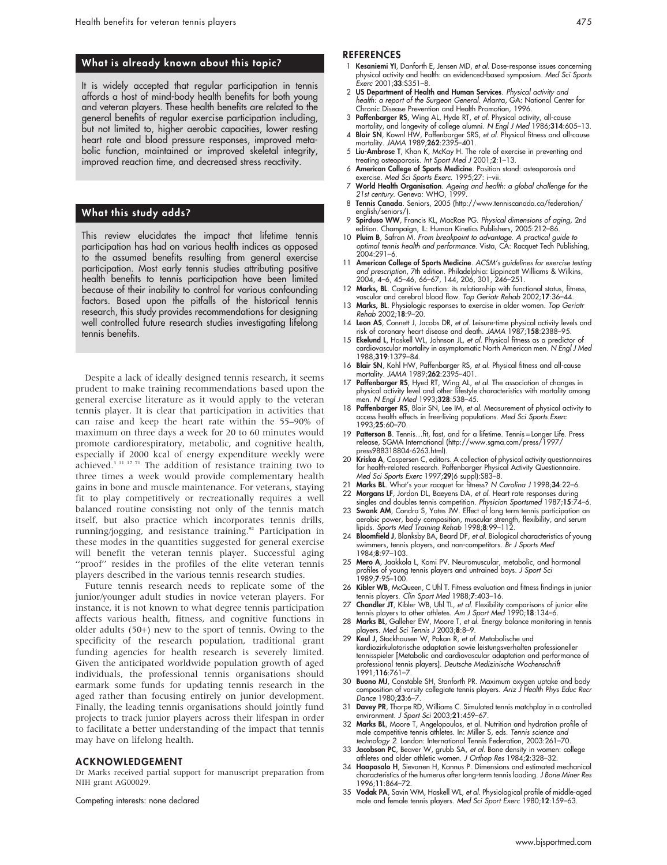#### What is already known about this topic?

It is widely accepted that regular participation in tennis affords a host of mind-body health benefits for both young and veteran players. These health benefits are related to the general benefits of regular exercise participation including, but not limited to, higher aerobic capacities, lower resting heart rate and blood pressure responses, improved metabolic function, maintained or improved skeletal integrity, improved reaction time, and decreased stress reactivity.

### What this study adds?

This review elucidates the impact that lifetime tennis participation has had on various health indices as opposed to the assumed benefits resulting from general exercise participation. Most early tennis studies attributing positive health benefits to tennis participation have been limited because of their inability to control for various confounding factors. Based upon the pitfalls of the historical tennis research, this study provides recommendations for designing well controlled future research studies investigating lifelong tennis benefits.

Despite a lack of ideally designed tennis research, it seems prudent to make training recommendations based upon the general exercise literature as it would apply to the veteran tennis player. It is clear that participation in activities that can raise and keep the heart rate within the 55–90% of maximum on three days a week for 20 to 60 minutes would promote cardiorespiratory, metabolic, and cognitive health, especially if 2000 kcal of energy expenditure weekly were achieved.3 11 17 71 The addition of resistance training two to three times a week would provide complementary health gains in bone and muscle maintenance. For veterans, staying fit to play competitively or recreationally requires a well balanced routine consisting not only of the tennis match itself, but also practice which incorporates tennis drills, running/jogging, and resistance training.<sup>92</sup> Participation in these modes in the quantities suggested for general exercise will benefit the veteran tennis player. Successful aging "proof" resides in the profiles of the elite veteran tennis players described in the various tennis research studies.

Future tennis research needs to replicate some of the junior/younger adult studies in novice veteran players. For instance, it is not known to what degree tennis participation affects various health, fitness, and cognitive functions in older adults (50+) new to the sport of tennis. Owing to the specificity of the research population, traditional grant funding agencies for health research is severely limited. Given the anticipated worldwide population growth of aged individuals, the professional tennis organisations should earmark some funds for updating tennis research in the aged rather than focusing entirely on junior development. Finally, the leading tennis organisations should jointly fund projects to track junior players across their lifespan in order to facilitate a better understanding of the impact that tennis may have on lifelong health.

#### ACKNOWLEDGEMENT

Dr Marks received partial support for manuscript preparation from NIH grant AG00029.

Competing interests: none declared

- REFERENCES<br>1 Kesaniemi YI, Danforth E, Jensen MD, et al. Dose-response issues concerning 1 Kesaniemi YI, Danforth E, Jensen MD, et al. Dose-response issues concerning physical activity and health: an evidenced-based symposium. Med Sci Sports Exerc 2001;33:S351-8.
- 2 US Department of Health and Human Services. Physical activity and health: a report of the Surgeon General. Atlanta, GA: National Center for Chronic Disease Prevention and Health Promotion, 1996.
- 3 Paffenbarger RS, Wing AL, Hyde RT, et al. Physical activity, all-cause mortality, and longevity of college alumni. N Engl J Med 1986;314:605–13.
- 4 Blair SN, Kownl HW, Pattenbarger SRS, *et al.* Physical fitness and all-cause<br>mortality. JAMA 1989;**262**:2395–401.
- 5 Liu-Ambrose T, Khan K, McKay H. The role of exercise in preventing and treating osteoporosis. Int Sport Med J 2001;2:1–13.
- 6 American College of Sports Medicine. Position stand: osteoporosis and exercise. Med Sci Sports Exerc. 1995;27: i–vii.
- 7 World Health Organisation. Ageing and health: a global challenge for the 21st century. Geneva: WHO, 1999.
- 8 Tennis Canada. Seniors, 2005 (http://www.tenniscanada.ca/federation/ english/seniors/).
- 9 Spirduso WW, Francis KL, MacRae PG. Physical dimensions of aging, 2nd edition. Champaign, IL: Human Kinetics Publishers, 2005:212–86.
- 10 Pluim B, Safran M. From breakpoint to advantage. A practical guide to optimal tennis health and performance. Vista, CA: Racquet Tech Publishing, 2004:291–6.
- 11 American College of Sports Medicine. ACSM's guidelines for exercise testing and prescription, 7th edition. Philadelphia: Lippincott Williams & Wilkins, 2004, 4–6, 45–46, 66–67, 144, 206, 301, 246–251.
- 12 Marks, BL. Cognitive function: its relationship with functional status, fitness, vascular and cerebral blood flow. Top Geriatr Rehab 2002;17:36–44.
- 13 Marks, BL. Physiologic responses to exercise in older women. Top Geriatr Rehab 2002;18:9–20.
- 14 Leon AS, Connett J, Jacobs DR, et al. Leisure-time physical activity levels and risk of coronary heart disease and death. JAMA 1987;158:2388-95.
- 15 Ekelund L, Haskell WL, Johnson JL, et al. Physical fitness as a predictor of cardiovascular mortality in asymptomatic North American men. N Engl J Med 1988;319:1379–84.
- 16 Blair SN, Kohl HW, Paffenbarger RS, et al. Physical fitness and all-cause mortality. JAMA 1989;262:2395–401.
- 17 **Paffenbarger RS**, Hyed RT, Wing AL, *et al.* The association of changes in<br>physical activity level and other lifestyle characteristics with mortality among nen. *N Engl J Med* 1993;**328**:538–45.
- 18 Paffenbarger RS, Blair SN, Lee IM, et al. Measurement of physical activity to access health effects in free-living populations. Med Sci Sports Exerc 1993;25:60–70.
- 19 Patterson B. Tennis...fit, fast, and for a lifetime. Tennis = Longer Life. Press release, SGMA International (http://www.sgma.com/press/1997/ press988318804-6263.html).
- 20 Kriska A, Caspersen C, editors. A collection of physical activity questionnaires for health-related research. Paffenbarger Physical Activity Questionnaire. Med Sci Sports Exerc 1997;29(6 suppl):S83–8.
- 21 Marks BL. What's your racquet for fitness? N Carolina J 1998;34:22–6.
- 22 Morgans LF, Jordan DL, Baeyens DA, et al. Heart rate responses during singles and doubles tennis competition. Physician Sportsmed 1987;15:74-6.
- 23 Swank AM, Condra S, Yates JW. Effect of long term tennis participation on aerobic power, body composition, muscular strength, flexibility, and serum lipids. Sports Med Training Rehab 1998;8:99–112.
- 24 Bloomfield J, Blanksby BA, Beard DF, et al. Biological characteristics of young swimmers, tennis players, and non-competitors. Br J Sports Med 1984;8:97–103.
- 25 Mero A, Jaakkola L, Komi PV. Neuromuscular, metabolic, and hormonal profiles of young tennis players and untrained boys. J Sport Sci 1989;7:95–100.
- 26 Kibler WB, McQueen, C Uhl T. Fitness evaluation and fitness findings in junior tennis players. Clin Sport Med 1988;7:403–16.
- 27 Chandler JT, Kibler WB, Uhl TL, et al. Flexibility comparisons of junior elite tennis players to other athletes. Am J Sport Med 1990;18:134-6
- 28 Marks BL, Galleher EW, Moore T, et al. Energy balance monitoring in tennis players. Med Sci Tennis J 2003;8:8-9.
- 29 Keul J, Stockhausen W, Pokan R, et al. Metabolische und kardiozirkulatorische adaptation sowie leistungsverhalten professioneller tennisspieler [Metabolic and cardiovascular adaptation and performance of professional tennis players]. Deutsche Medizinische Wochenschrift  $1991 \cdot 116 \cdot 761 - 7$
- 30 Buono MJ, Constable SH, Stanforth PR. Maximum oxygen uptake and body composition of varsity collegiate tennis players. Ariz J Health Phys Educ Recr Dance 1980;23:6–7.
- 31 Davey PR, Thorpe RD, Williams C. Simulated tennis matchplay in a controlled environment. J Sport Sci 2003;21:459–67.
- 32 Marks BL, Moore T, Angelopoulos, et al. Nutrition and hydration profile of male competitive tennis athletes. In: Miller S, eds. Tennis science and technology 2. London: International Tennis Federation, 2003:261–70.
- 33 Jacobson PC, Beaver W, grubb SA, et al. Bone density in women: college athletes and older athletic women. J Orthop Res 1984;2:328–32.
- 34 Haapasalo H, Sievanen H, Kannus P. Dimensions and estimated mechanical characteristics of the humerus after long-term tennis loading. J Bone Miner Res 1996;11:864–72.
- 35 Vodak PA, Savin WM, Haskell WL, et al. Physiological profile of middle-aged male and female tennis players. Med Sci Sport Exerc 1980;12:159-63.